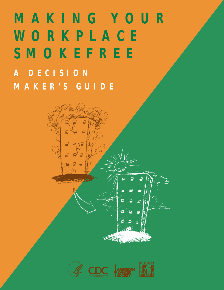## **MAKING YOUR WORKPLACE SMOKEFREE A DECISION MAKER'S GUIDE**



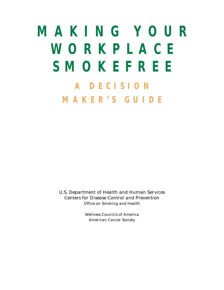## **MAKING YOUR WORKPLACE SMOKEFREE A DECISION MAKER'S GUIDE**

**U.S. Department of Health and Human Services Centers for Disease Control and Prevention Office on Smoking and Health** 

> **Wellness Councils of America American Cancer Society**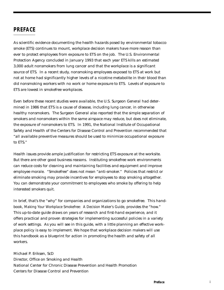#### **PREFACE**

As scientific evidence documenting the health hazards posed by environmental tobacco smoke (ETS) continues to mount, workplace decision makers have more reason than ever to protect employees from exposure to ETS on the job. The U.S. Environmental Protection Agency concluded in January 1993 that each year ETS kills an estimated 3,000 adult nonsmokers from lung cancer and that the workplace is a significant source of ETS. In a recent study, nonsmoking employees exposed to ETS at work but not at home had significantly higher levels of a nicotine metabolite in their blood than did nonsmoking workers with no work or home exposure to ETS. Levels of exposure to ETS are lowest in smokefree workplaces.

Even before these recent studies were available, the U.S. Surgeon General had determined in 1986 that ETS is a cause of disease, including lung cancer, in otherwise healthy nonsmokers. The Surgeon General also reported that the simple separation of smokers and nonsmokers within the same airspace may reduce, but does not eliminate, the exposure of nonsmokers to ETS. In 1991, the National Institute of Occupational Safety and Health of the Centers for Disease Control and Prevention recommended that "all available preventive measures should be used to minimize occupational exposure to ETS."

Health issues provide ample justification for restricting ETS exposure at the worksite. But there are other good business reasons. Instituting smokefree work environments can reduce costs for cleaning and maintaining facilities and equipment and improve employee morale. "Smokefree" does not mean "anti-smoker." Policies that restrict or eliminate smoking may provide incentives for employees to stop smoking altogether. You can demonstrate your commitment to employees who smoke by offering to help interested smokers quit.

In brief, that's the "why" for companies and organizations to go smokefree. This handbook, *Making Your Workplace Smokefree: A Decision Maker's Guide*, provides the "how." This up-to-date guide draws on years of research and first-hand experience, and it offers practical and proven strategies for implementing successful policies in a variety of work settings. As you will see in this guide, with a little planning an effective workplace policy is easy to implement. We hope that workplace decision makers will use this handbook as a blueprint for action in promoting the health and safety of all workers.

Michael P. Eriksen, ScD Director, Office on Smoking and Health National Center for Chronic Disease Prevention and Health Promotion Centers for Disease Control and Prevention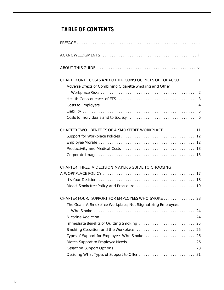## **TABLE OF CONTENTS**

| CHAPTER ONE. COSTS AND OTHER CONSEQUENCES OF TOBACCO 1      |
|-------------------------------------------------------------|
| Adverse Effects of Combining Cigarette Smoking and Other    |
|                                                             |
|                                                             |
|                                                             |
|                                                             |
|                                                             |
| CHAPTER TWO. BENEFITS OF A SMOKEFREE WORKPLACE 11           |
|                                                             |
|                                                             |
|                                                             |
|                                                             |
| CHAPTER THREE. A DECISION MAKER'S GUIDE TO CHOOSING         |
|                                                             |
|                                                             |
|                                                             |
| CHAPTER FOUR. SUPPORT FOR EMPLOYEES WHO SMOKE 23            |
| The Goal: A Smokefree Workplace, Not Stigmatizing Employees |
|                                                             |
|                                                             |
| Immediate Benefits of Quitting Smoking 25                   |
|                                                             |
| Types of Support for Employees Who Smoke 26                 |
|                                                             |
|                                                             |
| Deciding What Types of Support to Offer 31                  |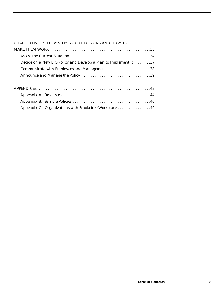|  | CHAPTER FIVE. STEP-BY-STEP: YOUR DECISIONS AND HOW TO |
|--|-------------------------------------------------------|

| Decide on a New ETS Policy and Develop a Plan to Implement It 37 |
|------------------------------------------------------------------|
| Communicate with Employees and Management 38                     |
|                                                                  |
|                                                                  |
|                                                                  |
|                                                                  |
|                                                                  |
| Appendix C. Organizations with Smokefree Workplaces 49           |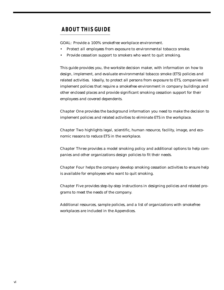### **ABOUT THIS GUIDE**

*GOAL: Provide a 100% smokefree workplace environment.*

- **•** *Protect all employees from exposure to environmental tobacco smoke.*
- **•** *Provide cessation support to smokers who want to quit smoking.*

This guide provides you, the worksite decision maker, with information on how to design, implement, and evaluate environmental tobacco smoke (ETS) policies and related activities. Ideally, to protect all persons from exposure to ETS, companies will implement policies that require a smokefree environment in company buildings and other enclosed places and provide significant smoking cessation support for their employees and covered dependents.

**Chapter One** provides the background information you need to make the decision to implement policies and related activities to eliminate ETS in the workplace.

**Chapter Two** highlights legal, scientific, human resource, facility, image, and economic reasons to reduce ETS in the workplace.

**Chapter Three** provides a model smoking policy and additional options to help companies and other organizations design policies to fit their needs.

**Chapter Four** helps the company develop smoking cessation activities to ensure help is available for employees who want to quit smoking.

**Chapter Five** provides step-by-step instructions in designing policies and related programs to meet the needs of the company.

Additional resources, sample policies, and a list of organizations with smokefree workplaces are included in the Appendices.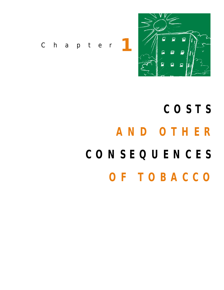

*Chapter* **1**

# **COSTS AND OTHER CONSEQUENCES OF TOBACCO**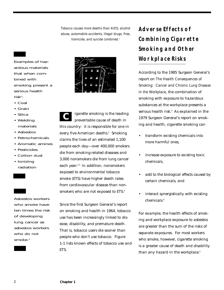*Tobacco causes more deaths than AIDS, alcohol abuse, automobile accidents, illegal drugs, fires, homicide, and suicide combined.1*



- Coal
- Grain
- Silica
- Welding materials
- Asbestos
- Petrochemicals
- Aromatic amines
- Pesticides
- Cotton dust
- Ionizing radiation

Asbestos workers who smoke have ten times the risk of developing lung cancer as asbestos workers who do not smoke.<sup>5</sup>



igarette smoking is the leading preventable cause of death in this country: it is responsible for one in every five American deaths.<sup>2</sup> Smoking claims the lives of an estimated 1,100 people each day—over 400,000 smokers die from smoking-related diseases and 3,000 nonsmokers die from lung cancer each year.<sup>2,3</sup> In addition, nonsmokers exposed to environmental tobacco smoke (ETS) have higher death rates from cardiovascular disease than nonsmokers who are not exposed to ETS.<sup>4</sup> **C**

Since the first Surgeon General's report on smoking and health in 1964, tobacco use has been increasingly linked to disease, disability, and premature death. That is, tobacco users die sooner than people who don't use tobacco. Figure 1-1 lists known effects of tobacco use and ETS.

## **Adverse Effects of Combining Cigarette Smoking and Other Workplace Risks**

According to the 1985 Surgeon General's report on *The Health Consequences of Smoking: Cancer and Chronic Lung Disease in the Workplace*, the combination of smoking with exposure to hazardous substances at the workplace presents a serious health risk.<sup>5</sup> As explained in the 1979 Surgeon General's report on smoking and health, cigarette smoking can

- transform existing chemicals into more harmful ones,
- increase exposure to existing toxic chemicals,
- add to the biological effects caused by certain chemicals, and
- interact synergistically with existing chemicals<sup>6</sup>

For example, the health effects of smoking and workplace exposure to asbestos are greater than the sum of the risks of separate exposures. For most workers who smoke, however, cigarette smoking is a greater cause of death and disability than any hazard in the workplace.<sup>5</sup>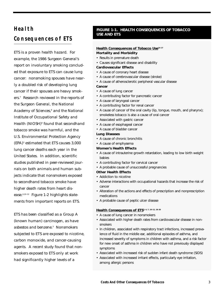## **Health Consequences of ETS**

ETS is a proven health hazard. For example, the 1986 Surgeon General's report on involuntary smoking concluded that exposure to ETS can cause lung cancer: nonsmoking spouses have nearly a doubled risk of developing lung cancer if their spouses are heavy smokers.7 Research reviewed in the reports of the Surgeon General, the National Academy of Sciences,<sup>8</sup> and the National Institute of Occupational Safety and Health (NIOSH)<sup>9</sup> found that secondhand tobacco smoke was harmful, and the U.S. Environmental Protection Agency  $(EPA)<sup>3</sup>$  estimated that ETS causes 3,000 lung cancer deaths each year in the United States. In addition, scientific studies published in peer-reviewed journals on both animals and human subjects indicate that nonsmokers exposed to secondhand tobacco smoke have higher death rates from heart disease.4,10–12 Figure 1-2 highlights statements from important reports on ETS.

ETS has been classified as a Group A (known human) carcinogen, as have asbestos and benzene.3 Nonsmokers subjected to ETS are exposed to nicotine, carbon monoxide, and cancer-causing agents. A recent study found that nonsmokers exposed to ETS only at work had significantly higher levels of a

#### **FIGURE 1-1. HEALTH CONSEQUENCES OF TOBACCO USE AND ETS**

#### **Health Consequences of Tobacco Use14-17 Mortality and Morbidity**

- Results in premature death
- Causes significant disease and disability

#### **Cardiovascular Effects**

- A cause of coronary heart disease
- A cause of cerebrovascular disease (stroke)
- A cause of atherosclerotic peripheral vascular disease

#### **Cancer**

- A cause of lung cancer
- A contributing factor for pancreatic cancer
- A cause of laryngeal cancer
- A contributing factor for renal cancer
- A cause of cancer of the oral cavity (lip, tongue, mouth, and pharynx); smokeless tobacco is also a cause of oral cancer
- Associated with gastric cancer
- A cause of esophageal cancer
- A cause of bladder cancer

#### **Lung Diseases**

- A cause of chronic bronchitis
- A cause of emphysema

#### **Women's Health Effects**

- A cause of intrauterine growth retardation, leading to low birth weight babies
- A contributing factor for cervical cancer
- A probable cause of unsuccessful pregnancies

#### **Other Health Effects**

- Addiction to nicotine
- Adverse interactions with occupational hazards that increase the risk of cancer
- Alteration of the actions and effects of prescription and nonprescription medications
- A probable cause of peptic ulcer disease

#### **Health Consequences of ETS3, 4, 7, 10–12, 18–20**

- A cause of lung cancer in nonsmokers
- Associated with higher death rates from cardiovascular disease in nonsmokers
- In children, associated with respiratory tract infections, increased prevalence of fluid in the middle ear, additional episodes of asthma, and increased severity of symptoms in children with asthma, and a risk factor for new onset of asthma in children who have not previously displayed symptoms
- Associated with increased risk of sudden infant death syndrome (SIDS)
- Associated with increased irritant effects, particularly eye irritation, among allergic persons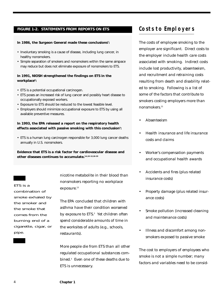#### **FIGURE 1-2. STATEMENTS FROM REPORTS ON ETS**

#### In 1986, the Surgeon General made these conclusions<sup>7</sup>:

- Involuntary smoking is a cause of disease, including lung cancer, in healthy nonsmokers.
- Simple separation of smokers and nonsmokers within the same airspace may reduce but does not eliminate exposure of nonsmokers to ETS.

#### **In 1991, NIOSH strengthened the findings on ETS in the workplace9 :**

- ETS is a potential occupational carcinogen.
- ETS poses an increased risk of lung cancer and possibly heart disease to occupationally exposed workers.
- Exposure to ETS should be reduced to the lowest feasible level.
- Employers should minimize occupational exposure to ETS by using all available preventive measures.

#### **In 1993, the EPA released a report on the respiratory health** effects associated with passive smoking with this conclusion<sup>3</sup>:

• ETS is a human lung carcinogen responsible for 3,000 lung cancer deaths annually in U.S. nonsmokers.

**Evidence that ETS is a risk factor for cardiovascular disease and other diseases continues to accumulate.3,4,10–12,18–20**

ETS is a combination of smoke exhaled by the smoker and the smoke that comes from the burning end of a cigarette, cigar, or pipe.

nicotine metabolite in their blood than nonsmokers reporting no workplace exposure.<sup>13</sup>

The EPA concluded that children with asthma have their condition worsened by exposure to ETS.<sup>3</sup> Yet children often spend considerable amounts of time in the worksites of adults (e.g., schools, restaurants).

More people die from ETS than all other regulated occupational substances combined.3 Even one of these deaths due to ETS is unnecessary.

### **Costs to Employers**

The costs of employee smoking to the employer are significant. Direct costs to the employer include health care costs associated with smoking. Indirect costs include lost productivity, absenteeism, and recruitment and retraining costs resulting from death and disability related to smoking. Following is a list of some of the factors that contribute to smokers costing employers more than nonsmokers.<sup>21</sup>

- Absenteeism
- Health insurance and life insurance costs and claims
- Worker's compensation payments and occupational health awards
- Accidents and fires (plus related insurance costs)
- Property damage (plus related insurance costs)
- Smoke pollution (increased cleaning and maintenance costs)
- Illness and discomfort among nonsmokers exposed to passive smoke

The cost to employers of employees who smoke is not a simple number; many factors and variables need to be consid-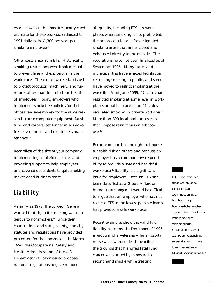ered. However, the most frequently cited estimate for the excess cost (adjusted to 1991 dollars) is \$1,300 per year per smoking employee.<sup>21</sup>

Other costs arise from ETS. Historically, smoking restrictions were implemented to prevent fires and explosions in the workplace. These rules were established to protect products, machinery, and furniture rather than to protect the health of employees. Today, employers who implement smokefree policies for their offices can save money for the same reason because computer equipment, furniture, and carpets last longer in a smokefree environment and require less maintenance.<sup>22</sup>

Regardless of the size of your company, implementing smokefree policies and providing support to help employees and covered dependents to quit smoking makes good business sense.

#### **Liability**

As early as 1972, the Surgeon General warned that cigarette smoking was dangerous to nonsmokers.<sup>23</sup> Since then, court rulings and state, county, and city statutes and regulations have provided protection for the nonsmoker. In March 1994, the Occupational Safety and Health Administration of the U.S. Department of Labor issued proposed national regulations to govern indoor

air quality, including ETS. In workplaces where smoking is not prohibited, the proposed rule calls for designated smoking areas that are enclosed and exhausted directly to the outside. The regulations have not been finalized as of September 1996. Many states and municipalities have enacted legislation restricting smoking in public, and some have moved to restrict smoking at the worksite. As of June 1995, 47 states had restricted smoking at some level in workplaces or public places, and 21 states regulated smoking in private worksites.<sup>24</sup> More than 800 local ordinances exist that impose restrictions on tobacco use. $25$ 

Because no one has the right to impose a health risk on others and because an employer has a common-law responsibility to provide a safe and healthful workplace,<sup>26</sup> liability is a significant issue for employers. Because ETS has been classified as a Group A (known human) carcinogen, it would be difficult to argue that an employer who has not reduced ETS to the lowest possible levels has provided a safe workplace.

Recent examples show the validity of liability concerns. In December of 1995, a widower of a Veterans Affairs hospital nurse was awarded death benefits on the grounds that his wife's fatal lung cancer was caused by exposure to secondhand smoke while treating

ETS contains about 4,000 chemical compounds, including formaldehyde, cyanide, carbon monoxide, ammonia, nicotine, and cancer-causing agents such as benzene and N-nitrosamines.3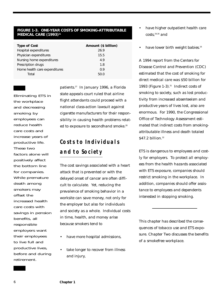#### **FIGURE 1-3. ONE-YEAR COSTS OF SMOKING-ATTRIBUTABLE MEDICAL CARE (1993)**<sup>31</sup>

| <b>Type of Cost</b>           | Amount (\$ billion) |
|-------------------------------|---------------------|
| Hospital expenditures         | 26.9                |
| Physician expenditures        | 15.5                |
| Nursing home expenditures     | 4.9                 |
| Prescription drugs            | 1.8                 |
| Home health care expenditures | 0.9                 |
| Total                         | 50.0                |

Eliminating ETS in the workplace and decreasing smoking by employees can reduce health care costs and increase years of productive life. These two factors alone will positively affect the bottom line for companies. While premature death among smokers may offset the increased health care costs with savings in pension benefits, all responsible employers want their employees to live full and productive lives, before and during retirement.

patients.27 In January 1996, a Florida state appeals court ruled that airline flight attendants could proceed with a national class-action lawsuit against cigarette manufacturers for their responsibility in causing health problems related to exposure to secondhand smoke.<sup>28</sup>

## **Costs to Individuals and to Society**

The cost savings associated with a heart attack that is prevented or with the delayed onset of cancer are often difficult to calculate. Yet, reducing the prevalence of smoking behavior in a worksite can save money, not only for the employer but also for individuals and society as a whole. Individual costs in time, health, and money arise because smokers tend to

- have more hospital admissions,
- take longer to recover from illness and injury,
- have higher outpatient health care  $costs<sup>29,30</sup>$  and
- have lower birth weight babies.<sup>16</sup>

A 1994 report from the Centers for Disease Control and Prevention (CDC) estimated that the cost of smoking for direct medical care was \$50 billion for 1993 (Figure 1-3). $31$  Indirect costs of smoking to society, such as lost productivity from increased absenteeism and productive years of lives lost, also are enormous. For 1990, the Congressional Office of Technology Assessment estimated that indirect costs from smokingattributable illness and death totaled \$47.2 billion.<sup>32</sup>

ETS is dangerous to employees and costly for employers. To protect all employees from the health hazards associated with ETS exposure, companies should restrict smoking in the workplace. In addition, companies should offer assistance to employees and dependents interested in stopping smoking.

This chapter has described the consequences of tobacco use and ETS exposure. Chapter Two discusses the benefits of a smokefree workplace.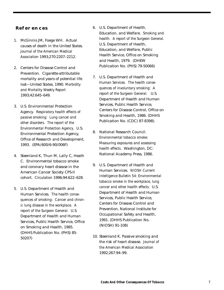#### **References**

- 1. McGinnis JM, Foege WH. Actual causes of death in the United States. *Journal of the American Medical Association* 1993;270:2207–2212.
- 2. Centers for Disease Control and Prevention. Cigarette-attributable mortality and years of potential life lost—United States, 1990. *Morbidity and Mortality Weekly Report* 1993;42:645–649.
- 3. U.S. Environmental Protection Agency. *Respiratory health effects of passive smoking: Lung cancer and other disorders. The report of the Environmental Protection Agency*. U.S. Environmental Protection Agency, Office of Research and Development, 1993. (EPA/600/6-90/006F)
- 4. Steenland K, Thun M, Lally C, Heath C. Environmental tobacco smoke and coronary heart disease in the American Cancer Society CPS-II cohort. *Circulation* 1996;94:622–628.
- 5. U.S. Department of Health and Human Services. *The health consequences of smoking: Cancer and chronic lung disease in the workplace. A report of the Surgeon General.* U.S. Department of Health and Human Services, Public Health Service, Office on Smoking and Health, 1985. (DHHS Publication No. (PHS) 85- 50207)
- 6. U.S. Department of Health, Education, and Welfare. *Smoking and health. A report of the Surgeon General.* U.S. Department of Health, Education, and Welfare, Public Health Service, Office on Smoking and Health, 1979. (DHEW Publication No. (PHS) 79-50066)
- 7. U.S. Department of Health and *Human Services. The health consequences of involuntary smoking: A report of the Surgeon General.* U.S. Department of Health and Human Services, Public Health Service, Centers for Disease Control, Office on Smoking and Health, 1986. (DHHS Publication No. (CDC) 87-8398).
- 8. National Research Council. *Environmental tobacco smoke: Measuring exposures and assessing health effects.* Washington, DC: National Academy Press, 1986.
- 9. U.S. Department of Health and Human Services. *NIOSH Current Intelligence Bulletin 54: Environmental tobacco smoke in the workplace, lung cancer and other health effects*. U.S. Department of Health and Human Services, Public Health Service, Centers for Disease Control and Prevention, National Institute for Occupational Safety and Health, 1991. (DHHS Publication No. (NIOSH) 91-108)
- 10. Steenland K. Passive smoking and the risk of heart disease. *Journal of the American Medical Association* 1992;267:94–99.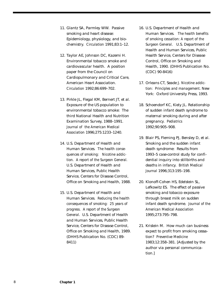- 11. Glantz SA, Parmley WW. Passive smoking and heart disease: Epidemiology, physiology, and biochemistry. *Circulation* 1991;83:1–12.
- 12. Taylor AE, Johnson DC, Kazemi H. Environmental tobacco smoke and cardiovascular health. A position paper from the Council on Cardiopulmonary and Critical Care, American Heart Association. *Circulation* 1992;86:699–702.
- 13. Pirkle JL, Flegal KM, Bernert JT, et al. Exposure of the US population to environmental tobacco smoke: The third National Health and Nutrition Examination Survey, 1988–1991. *Journal of the American Medical Association* 1996;275:1233–1240.
- 14. U.S. Department of Health and Human Services. *The health consequences of smoking: Nicotine addiction. A report of the Surgeon General.* U.S. Department of Health and Human Services, Public Health Service, Centers for Disease Control, Office on Smoking and Health, 1988.
- 15. U.S. Department of Health and Human Services. *Reducing the health consequences of smoking: 25 years of progress. A report of the Surgeon General*. U.S. Department of Health and Human Services, Public Health Service, Centers for Disease Control, Office on Smoking and Health, 1989. (DHHS Publication No. (CDC) 89- 8411)
- 16. U.S. Department of Health and Human Services. *The health benefits of smoking cessation: A report of the Surgeon General*. U.S. Department of Health and Human Services, Public Health Service, Centers for Disease Control, Office on Smoking and Health, 1990. (DHHS Publication No. (CDC) 90-8416)
- 17. Orleans CT, Seade J. *Nicotine addiction: Principles and management*. New York: Oxford University Press, 1993.
- 18. Schoendorf KC, Kiely JL. Relationship of sudden infant death syndrome to maternal smoking during and after pregnancy. *Pediatrics* 1992;90:905–908.
- 19. Blair PS, Fleming PJ, Bensley D, et al. Smoking and the sudden infant death syndrome: Results from 1993–5 case-control study for confidential inquiry into stillbirths and deaths in infancy. *British Medical Journal* 1996;313:195–198.
- 20. Klonoff-Cohen HS, Edelstein SL, Lefkowitz ES. The effect of passive smoking and tobacco exposure through breast milk on sudden infant death syndrome. *Journal of the American Medical Association* 1995;273:795–798.
- 21. Kristein M. How much can business expect to profit from smoking cessation? *Preventive Medicine* 1983;12:358–381. [Adjusted by the author via personal communication.]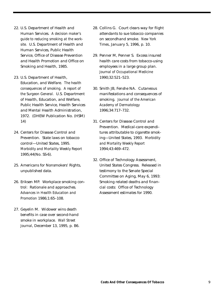- 22. U.S. Department of Health and Human Services. *A decision maker's guide to reducing smoking at the worksite.* U.S. Department of Health and Human Services, Public Health Service, Office of Disease Prevention and Health Promotion and Office on Smoking and Health, 1985.
- 23. U.S. Department of Health, Education, and Welfare. *The health consequences of smoking. A report of the Surgeon General.* U.S. Department of Health, Education, and Welfare, Public Health Service, Health Services and Mental Health Administration, 1972. (DHEW Publication No. (HSM) 14)
- 24. Centers for Disease Control and Prevention. State laws on tobacco control—United States, 1995. *Morbidity and Mortality Weekly Report* 1995;44(No. SS-6).
- 25. Americans for Nonsmokers' Rights, unpublished data.
- 26. Eriksen MP. Workplace smoking control: Rationale and approaches. *Advances in Health Education and Promotion* 1986;1:65–108.
- 27. Geyelin M. Widower wins death benefits in case over second-hand smoke in workplace. *Wall Street Journal*, December 13, 1995, p. B6.
- 28. Collins G. Court clears way for flight attendants to sue tobacco companies on secondhand smoke. *New York Times*, January 5, 1996, p. 10.
- 29. Penner M, Penner S. Excess insured health care costs from tobacco-using employees in a large group plan. *Journal of Occupational Medicine* 1990;32:521–523.
- 30. Smith JB, Fenshe NA. Cutaneous manifestations and consequences of smoking. *Journal of the American Academy of Dermatology* 1996;34:717–732.
- 31. Centers for Disease Control and Prevention. Medical-care expenditures attributable to cigarette smoking—United States, 1993. *Morbidity and Mortality Weekly Report* 1994;43:469–472.
- 32. Office of Technology Assessment, United States Congress. Released in testimony to the Senate Special Committee on Aging, May 6, 1993: Smoking related deaths and financial costs: Office of Technology Assessment estimates for 1990.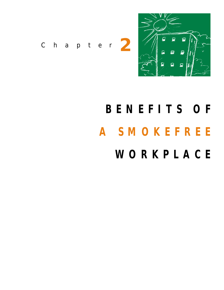

*Chapter* **2**

# **BENEFITS OF A SMOKEFREE WORKPLACE**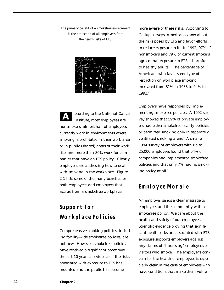*The primary benefit of a smokefree environment is the protection of all employees from the health risks of ETS.*



ccording to the National Cancer Institute, most employees are nonsmokers, almost half of employees currently work in environments where smoking is prohibited in their work area or in public (shared) areas of their work site, and more than 80% work for companies that have an ETS policy.<sup>1</sup> Clearly, employers are addressing how to deal with smoking in the workplace. Figure 2-1 lists some of the many benefits for both employees and employers that accrue from a smokefree workplace. **A**

## **Support for Workplace Policies**

Comprehensive smoking policies, including facility-wide smokefree policies, are not new. However, smokefree policies have received a significant boost over the last 10 years as evidence of the risks associated with exposure to ETS has mounted and the public has become

more aware of these risks. According to Gallup surveys, Americans know about the risks posed by ETS and favor efforts to reduce exposure to it. In 1992, 97% of nonsmokers and 79% of current smokers agreed that exposure to ETS is harmful to healthy adults. $3$  The percentage of Americans who favor some type of restriction on workplace smoking increased from 81% in 1983 to 94% in 1992.3

Employers have responded by implementing smokefree policies. A 1992 survey showed that 59% of private employers had either smokefree facility policies or permitted smoking only in separately ventilated smoking areas.<sup>4</sup> A smaller 1994 survey of employers with up to 25,000 employees found that 54% of companies had implemented smokefree policies and that only 7% had no smoking policy at all.<sup>5</sup>

#### **Employee Morale**

An employer sends a clear message to employees and the community with a smokefree policy: We care about the health and safety of our employees. Scientific evidence proving that significant health risks are associated with ETS exposure supports employers against any claims of "harassing" employees or visitors who smoke. The employer's concern for the health of employees is especially clear in the case of employees who have conditions that make them vulner-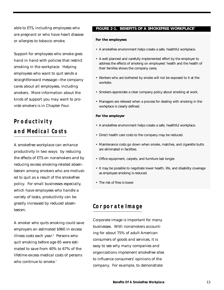able to ETS, including employees who are pregnant or who have heart disease or allergies to tobacco smoke.

Support for employees who smoke goes hand in hand with policies that restrict smoking in the workplace. Helping employees who want to quit sends a straightforward message—the company cares about all employees, including smokers. More information about the kinds of support you may want to provide smokers is in Chapter Four.

## **Productivity and Medical Costs**

A smokefree workplace can enhance productivity in two ways: by reducing the effects of ETS on nonsmokers and by reducing excess smoking-related absenteeism among smokers who are motivated to quit as a result of the smokefree policy. For small businesses especially, which have employees who handle a variety of tasks, productivity can be greatly increased by reduced absenteeism.

A smoker who quits smoking could save employers an estimated \$960 in excess illness costs each year.<sup>6</sup> Persons who quit smoking before age 65 were estimated to save from 40% to 67% of the lifetime excess medical costs of persons who continue to smoke.<sup>7</sup>

#### **FIGURE 2-1. BENEFITS OF A SMOKEFREE WORKPLACE2**

#### **For the employees**

- A smokefree environment helps create a safe, healthful workplace.
- A well planned and carefully implemented effort by the employer to address the effects of smoking on employees' health and the health of their families shows the company cares.
- Workers who are bothered by smoke will not be exposed to it at the worksite.
- Smokers appreciate a clear company policy about smoking at work.
- Managers are relieved when a process for dealing with smoking in the workplace is clearly defined.

#### **For the employer**

- A smokefree environment helps create a safe, healthful workplace.
- Direct health care costs to the company may be reduced.
- Maintenance costs go down when smoke, matches, and cigarette butts are eliminated in facilities.
- Office equipment, carpets, and furniture last longer.
- It may be possible to negotiate lower health, life, and disability coverage as employee smoking is reduced.
- The risk of fires is lower.

#### **Corporate Image**

Corporate image is important for many businesses. With nonsmokers accounting for about 75% of adult American consumers of goods and services, it is easy to see why many companies and organizations implement smokefree sites to influence consumers' opinions of the company. For example, to demonstrate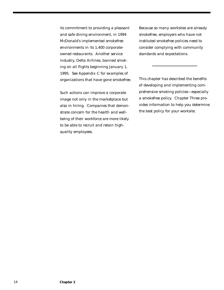its commitment to providing a pleasant and safe dining environment, in 1994 McDonald's implemented smokefree environments in its 1,400 corporateowned restaurants. Another service industry, Delta Airlines, banned smoking on all flights beginning January 1, 1995. See Appendix C for examples of organizations that have gone smokefree.

Such actions can improve a corporate image not only in the marketplace but also in hiring. Companies that demonstrate concern for the health and wellbeing of their workforce are more likely to be able to recruit and retain highquality employees.

Because so many worksites are already smokefree, employers who have not instituted smokefree policies need to consider complying with community standards and expectations.

This chapter has described the benefits of developing and implementing comprehensive smoking policies—especially a smokefree policy. Chapter Three provides information to help you determine the best policy for your worksite.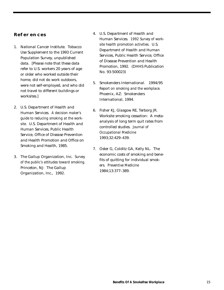#### **References**

- 1. National Cancer Institute. Tobacco Use Supplement to the 1993 Current Population Survey, unpublished data. [Please note that these data refer to U.S. workers 20 years of age or older who worked outside their home, did not do work outdoors, were not self-employed, and who did not travel to different buildings or worksites.]
- 2. U.S. Department of Health and Human Services. *A decision maker's guide to reducing smoking at the worksite.* U.S. Department of Health and Human Services, Public Health Service, Office of Disease Prevention and Health Promotion and Office on Smoking and Health, 1985.
- 3. The Gallup Organization, Inc. *Survey of the public's attitudes toward smoking.* Princeton, NJ: The Gallup Organization, Inc., 1992.
- 4. U.S. Department of Health and Human Services. *1992 Survey of worksite health promotion activities.* U.S. Department of Health and Human Services, Public Health Service, Office of Disease Prevention and Health Promotion, 1992. (DHHS Publication No. 93-500023)
- 5. Smokenders International. 1994/95 *Report on smoking and the workplace.* Phoenix, AZ: Smokenders International, 1994.
- 6. Fisher KJ, Glasgow RE, Terborg JR. Worksite smoking cessation: A metaanalysis of long term quit rates from controlled studies. *Journal of Occupational Medicine* 1993;32:429–439.
- 7. Oster G, Colditz GA, Kelly NL. The economic costs of smoking and benefits of quitting for individual smokers. *Preventive Medicine* 1984;13:377–389.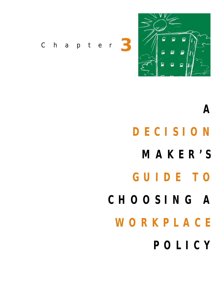

*Chapter* **3**

# **A DECISION**

**MAKER'S**

## **GUIDE TO**

- **CHOOSING A**
	- **WORKPLACE**
		- **POLICY**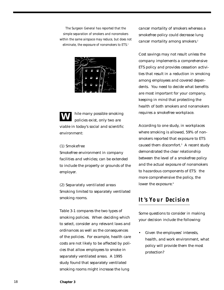*The Surgeon General has reported that the simple separation of smokers and nonsmokers within the same airspace may reduce, but does not eliminate, the exposure of nonsmokers to ETS.1*



hile many possible smoking policies exist, only two are viable in today's social and scientific environment: **W**

#### **(1) Smokefree**

Smokefree environment in company facilities and vehicles; can be extended to include the property or grounds of the employer.

**(2) Separately ventilated areas** Smoking limited to separately ventilated smoking rooms.

Table 3-1 compares the two types of smoking policies. When deciding which to select, consider any relevant laws and ordinances as well as the consequences of the policies. For example, health care costs are not likely to be affected by policies that allow employees to smoke in separately ventilated areas. A 1995 study found that separately ventilated smoking rooms might increase the lung

cancer mortality of smokers whereas a smokefree policy could decrease lung cancer mortality among smokers.<sup>2</sup>

Cost savings may not result unless the company implements a comprehensive ETS policy and provides cessation activities that result in a reduction in smoking among employees and covered dependents. You need to decide what benefits are most important for your company, keeping in mind that protecting the health of both smokers and nonsmokers requires a smokefree workplace.

According to one study, in workplaces where smoking is allowed, 59% of nonsmokers reported that exposure to ETS caused them discomfort.<sup>3</sup> A recent study demonstrated the clear relationship between the level of a smokefree policy and the actual exposure of nonsmokers to hazardous components of ETS: the more comprehensive the policy, the lower the exposure.<sup>4</sup>

#### **It's Your Decision**

Some questions to consider in making your decision include the following:

• Given the employees' interests, health, and work environment, what policy will provide them the most protection?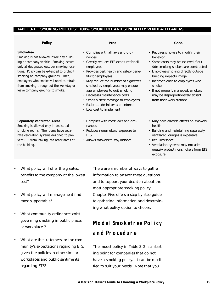#### **TABLE 3-1. SMOKING POLICIES: 100% SMOKEFREE AND SEPARATELY VENTILATED AREAS**

#### **Policy**

#### **Smokefree**

*Smoking is not allowed inside any building or company vehicle. Smoking occurs only at designated outdoor smoking locations. Policy can be extended to prohibit smoking on company grounds. Then, employees who smoke will need to refrain from smoking throughout the workday or leave company grounds to smoke.*

#### **Separately Ventilated Areas**

*Smoking is allowed only in dedicated smoking rooms. The rooms have separate ventilation systems designed to prevent ETS from leaking into other areas of the building.*

#### **Pros**

- Complies with all laws and ordinances
- Greatly reduces ETS exposure for all employees
- Provides best health and safety benefits for employees
- May reduce the number of cigarettes smoked by employees; may encourage employees to quit smoking
- Decreases maintenance costs
- Sends a clear message to employees
- Easier to administer and enforce
- Low cost to implement
- Complies with most laws and ordinances
- Reduces nonsmokers' exposure to **FTS**
- Allows smokers to stay indoors

#### **Cons**

- Requires smokers to modify their behavior
- Some costs may be incurred if outside smoking shelters are constructed
- Employee smoking directly outside building impacts image
- Inconvenience to employees who smoke
- If not properly managed, smokers may be disproportionately absent from their work stations
- May have adverse effects on smokers' health
- Building and maintaining separately ventilated lounges is expensive
- Requires space
- Ventilation systems may not adequately protect nonsmokers from ETS exposure

- What policy will offer the greatest benefits to the company at the lowest cost?
- What policy will management find most supportable?
- What community ordinances exist governing smoking in public places or workplaces?
- What are the customers' or the community's expectations regarding ETS, given the policies in other similar workplaces and public sentiments regarding ETS?

There are a number of ways to gather information to answer these questions and to support your decision about the most appropriate smoking policy. Chapter Five offers a step-by-step guide to gathering information and determining what policy option to choose.

## **Model Smokefree Policy and Procedure**

The model policy in Table 3–2 is a starting point for companies that do not have a smoking policy. It can be modified to suit your needs. Note that you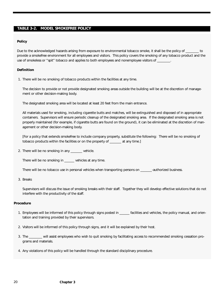#### **TABLE 3-2. MODEL SMOKEFREE POLICY**

#### **Policy**

Due to the acknowledged hazards arising from exposure to environmental tobacco smoke, it shall be the policy of \_\_\_\_\_\_\_\_ to provide a smokefree environment for all employees and visitors. This policy covers the smoking of any tobacco product and the use of smokeless or "spit" tobacco and applies to both employees and nonemployee visitors of \_\_\_\_\_\_

#### **Definition**

1. There will be no smoking of tobacco products within the facilities at any time.

The decision to provide or not provide designated smoking areas outside the building will be at the discretion of management or other decision-making body.

The designated smoking area will be located at least 20 feet from the main entrance.

All materials used for smoking, including cigarette butts and matches, will be extinguished and disposed of in appropriate containers. Supervisors will ensure periodic cleanup of the designated smoking area. If the designated smoking area is not properly maintained (for example, if cigarette butts are found on the ground), it can be eliminated at the discretion of management or other decision-making body.

[For a policy that extends smokefree to include company property, substitute the following: There will be no smoking of tobacco products within the facilities or on the property of \_\_\_\_\_\_\_ at any time.]

2. There will be no smoking in any \_\_\_\_\_\_\_ vehicle.

There will be no smoking in \_\_\_\_\_\_ vehicles at any time.

There will be no tobacco use in personal vehicles when transporting persons on \_\_\_\_\_\_\_-authorized business.

#### 3. Breaks

Supervisors will discuss the issue of smoking breaks with their staff. Together they will develop effective solutions that do not interfere with the productivity of the staff.

#### **Procedure**

- 1. Employees will be informed of this policy through signs posted in \_\_\_\_\_\_ facilities and vehicles, the policy manual, and orientation and training provided by their supervisors.
- 2. Visitors will be informed of this policy through signs, and it will be explained by their host.
- 3. The \_\_\_\_\_\_\_\_ will assist employees who wish to quit smoking by facilitating access to recommended smoking cessation programs and materials.
- 4. Any violations of this policy will be handled through the standard disciplinary procedure.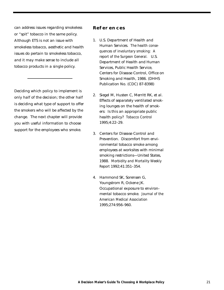can address issues regarding smokeless or "spit" tobacco in the same policy. Although ETS is not an issue with smokeless tobacco, aesthetic and health issues do pertain to smokeless tobacco, and it may make sense to include all tobacco products in a single policy.

Deciding which policy to implement is only half of the decision; the other half is deciding what type of support to offer the smokers who will be affected by the change. The next chapter will provide you with useful information to choose support for the employees who smoke.

#### **References**

- 1. U.S. Department of Health and Human Services. *The health consequences of involuntary smoking: A report of the Surgeon General.* U.S. Department of Health and Human Services, Public Health Service, Centers for Disease Control, Office on Smoking and Health, 1986. (DHHS Publication No. (CDC) 87-8398)
- 2. Siegel M, Husten C, Merritt RK, et al. Effects of separately ventilated smoking lounges on the health of smokers: Is this an appropriate public health policy? *Tobacco Control* 1995;4:22–29.
- 3. Centers for Disease Control and Prevention. Discomfort from environmental tobacco smoke among employees at worksites with minimal smoking restrictions—United States, 1988. *Morbidity and Mortality Weekly Report* 1992;41:351–354.
- 4. Hammond SK, Sorensen G, Youngstrom R, Ockene JK. Occupational exposure to environmental tobacco smoke. *Journal of the American Medical Association* 1995;274:956–960.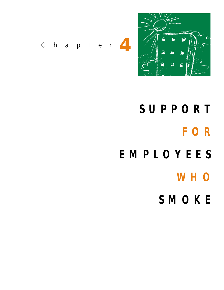

*Chapter* **4**

- **SUPPORT FOR EMPLOYEES**
	- **WHO**
	- **SMOKE**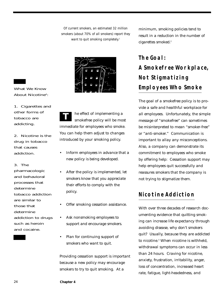*Of current smokers, an estimated 32 million smokers (about 70% of all smokers) report they want to quit smoking completely.1*



What We Know About Nicotine<sup>4</sup>:

- 1. Cigarettes and other forms of tobacco are addicting.
- 2. Nicotine is the drug in tobacco that causes addiction.
- 3. The

pharmacologic and behavioral processes that determine tobacco addiction are similar to those that determine addiction to drugs such as heroin and cocaine.

he effect of implementing a smokefree policy will be most immediate for employees who smoke. You can help them adjust to changes introduced by your smoking policy. **T**

- Inform employees in advance that a new policy is being developed.
- After the policy is implemented, let smokers know that you appreciate their efforts to comply with the policy.
- Offer smoking cessation assistance.
- Ask nonsmoking employees to support and encourage smokers.
- Plan for continuing support of smokers who want to quit.

Providing cessation support is important because a new policy may encourage smokers to try to quit smoking. At a

minimum, smoking policies tend to result in a reduction in the number of cigarettes smoked.<sup>2</sup>

## **The Goal: A Smokefree Workplace, Not Stigmatizing Employees Who Smoke**

The goal of a smokefree policy is to provide a safe and healthful workplace for all employees. Unfortunately, the simple message of "smokefree" can sometimes be misinterpreted to mean "smoker-free" or "anti-smoker." Communication is important to allay any misconceptions. Also, a company can demonstrate its commitment to employees who smoke by offering help: Cessation support may help employees quit successfully and reassures smokers that the company is not trying to stigmatize them.

### **Nicotine Addiction**

With over three decades of research documenting evidence that quitting smoking can increase life expectancy through avoiding disease, why don't smokers quit? Usually, because they are addicted to nicotine.<sup>3</sup> When nicotine is withheld. withdrawal symptoms can occur in less than 24 hours. Craving for nicotine, anxiety, frustration, irritability, anger, loss of concentration, increased heart rate, fatigue, light-headedness, and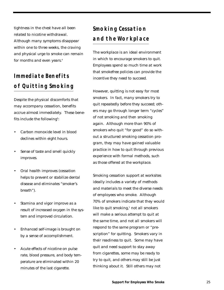tightness in the chest have all been related to nicotine withdrawal. Although many symptoms disappear within one to three weeks, the craving and physical urge to smoke can remain for months and even years.<sup>4</sup>

## **Immediate Benefits of Quitting Smoking**

Despite the physical discomforts that may accompany cessation, benefits accrue almost immediately. These benefits include the following<sup>5</sup>:

- Carbon monoxide level in blood declines within eight hours.
- Sense of taste and smell quickly improves.
- Oral health improves (cessation helps to prevent or stabilize dental disease and eliminates "smoker's breath").
- Stamina and vigor improve as a result of increased oxygen in the system and improved circulation.
- Enhanced self-image is brought on by a sense of accomplishment.
- Acute effects of nicotine on pulse rate, blood pressure, and body temperature are eliminated within 20 minutes of the last cigarette.

## **Smoking Cessation and the Workplace**

The workplace is an ideal environment in which to encourage smokers to quit. Employees spend so much time at work that smokefree policies can provide the incentive they need to succeed.

However, quitting is not easy for most smokers. In fact, many smokers try to quit repeatedly before they succeed; others may go through longer term "cycles" of not smoking and then smoking again. Although more than 90% of smokers who quit "for good" do so without a structured smoking cessation program, they may have gained valuable practice in how to quit through previous experience with formal methods, such as those offered at the workplace.

Smoking cessation support at worksites ideally includes a variety of methods and materials to meet the diverse needs of employees who smoke. Although 70% of smokers indicate that they would like to quit smoking, $1$  not all smokers will make a serious attempt to quit at the same time, and not all smokers will respond to the same program or "prescription" for quitting. Smokers vary in their readiness to quit. Some may have quit and need support to stay away from cigarettes, some may be ready to try to quit, and others may still be just thinking about it. Still others may not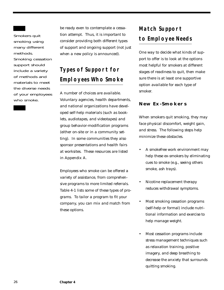Smokers quit smoking using many different methods. Smoking cessation support should include a variety of methods and materials to meet the diverse needs of your employees who smoke.

be ready even to contemplate a cessation attempt. Thus, it is important to consider providing both different types of support and ongoing support (not just when a new policy is announced).

## **Types of Support for Employees Who Smoke**

A number of choices are available. Voluntary agencies, health departments, and national organizations have developed self-help materials (such as booklets, audiotapes, and videotapes) and group behavior-modification programs (either on-site or in a community setting). In some communities they also sponsor presentations and health fairs at worksites. These resources are listed in Appendix A.

Employees who smoke can be offered a variety of assistance, from comprehensive programs to more limited referrals. Table 4-1 lists some of these types of programs. To tailor a program to fit your company, you can mix and match from these options.

## **Match Support to Employee Needs**

One way to decide what kinds of support to offer is to look at the options most helpful for smokers at different stages of readiness to quit, then make sure there is at least one supportive option available for each type of smoker.

#### **New Ex-Smokers**

When smokers quit smoking, they may face physical discomfort, weight gain, and stress. The following steps help minimize these obstacles.

- A smokefree work environment may help these ex-smokers by eliminating cues to smoke (e.g., seeing others smoke, ash trays).
- Nicotine replacement therapy reduces withdrawal symptoms.
- Most smoking cessation programs (self-help or formal) include nutritional information and exercise to help manage weight.
- Most cessation programs include stress management techniques such as relaxation training, positive imagery, and deep breathing to decrease the anxiety that surrounds quitting smoking.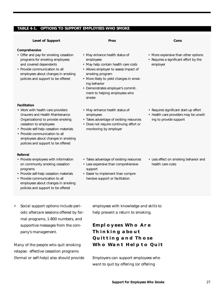#### **TABLE 4-1. OPTIONS TO SUPPORT EMPLOYEES WHO SMOKE**

#### **Comprehensive**

• Offer and pay for smoking cessation programs for smoking employees and covered dependents

**Level of Support**

• Provide communication to all employees about changes in smoking policies and support to be offered

#### **Facilitation**

- Work with health care providers (insurers and Health Maintenance Organizations) to provide smoking cessation to employees
- Provide self-help cessation materials
- Provide communication to all employees about changes in smoking policies and support to be offered

#### **Referral**

- Provide employees with information on community smoking cessation programs
- Provide self-help cessation materials
- Provide communication to all employees about changes in smoking policies and support to be offered
- May enhance health status of employees
- May help contain health care costs

**Pros**

- Allows employer to assess impact of smoking program
- More likely to yield changes in smoking behavior
- Demonstrates employer's commitment to helping employees who smoke
- May enhance health status of employees
- Takes advantage of existing resources
- Does not require continuing effort or monitoring by employer

• More expensive than other options

**Cons**

• Requires a significant effort by the employer

- Requires significant start-up effort
- Health care providers may be unwilling to provide support

- Takes advantage of existing resources
- Less expensive than comprehensive support
- Easier to implement than comprehensive support or facilitation
- Less effect on smoking behavior and health care costs

• Social support options include periodic aftercare sessions offered by formal programs, 1-800 numbers, and supportive messages from the company's management.

Many of the people who quit smoking relapse: effective cessation programs (formal or self-help) also should provide employees with knowledge and skills to help prevent a return to smoking.

#### **Employees Who Are Thinking about Quitting and Those Who Want Help to Quit**

Employers can support employees who want to quit by offering (or offering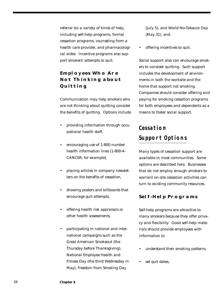referral to) a variety of kinds of help, including self-help programs, formal cessation programs, counseling from a health care provider, and pharmacological aides. Incentive programs also support smokers' attempts to quit.

#### **Employees Who Are Not Thinking about Quitting**

Communication may help smokers who are not thinking about quitting consider the benefits of quitting. Options include

- providing information through occupational health staff,
- encouraging use of 1-800 number health information lines (1-800-4- CANCER, for example),
- placing articles in company newsletters on the benefits of cessation,
- showing posters and billboards that encourage quit attempts,
- offering health risk appraisals or other health assessments,
- participating in national and international campaigns such as the Great American Smokeout (the Thursday before Thanksgiving), National Employee Health and Fitness Day (the third Wednesday in May), Freedom from Smoking Day

(July 5), and World No-Tobacco Day (May 31), and

• offering incentives to quit.

Social support also can encourage smokers to consider quitting. Such support includes the development of environments in both the worksite and the home that support not smoking. Companies should consider offering and paying for smoking cessation programs for both employees and dependents as a means to foster social support.

## **Cessation Support Options**

Many types of cessation support are available in most communities. Some options are described here. Businesses that do not employ enough smokers to warrant on-site cessation activities can turn to existing community resources.

#### **Self-Help Programs**

Self-help programs are attractive to many smokers because they offer privacy and flexibility. Good self-help materials should provide employees with information to

- understand their smoking patterns,
- set quit dates,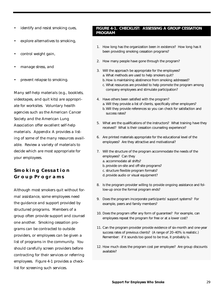- identify and resist smoking cues,
- explore alternatives to smoking,
- control weight gain,
- manage stress, and
- prevent relapse to smoking.

Many self-help materials (e.g., booklets, videotapes, and quit kits) are appropriate for worksites. Voluntary health agencies such as the American Cancer Society and the American Lung Association offer excellent self-help materials. Appendix A provides a listing of some of the many resources available. Review a variety of materials to decide which are most appropriate for your employees.

#### **Smoking Cessation Group Programs**

Although most smokers quit without formal assistance, some employees need the guidance and support provided by structured programs. Members of a group often provide support and counsel one another. Smoking cessation programs can be contracted to outside providers, or employees can be given a list of programs in the community. You should carefully screen providers before contracting for their services or referring employees. Figure 4-1 provides a checklist for screening such services.

#### **FIGURE 4-1. CHECKLIST: ASSESSING A GROUP CESSATION PROGRAM**

- 1. How long has the organization been in existence? How long has it been providing smoking cessation programs?
- 2. How many people have gone through the program?
- 3. Will the approach be appropriate for the employees? a. What methods are used to help smokers quit?
	- b.How is maintaining abstinence from smoking addressed?
	- c. What resources are provided to help promote the program among company employees and stimulate participation?
- 4. Have others been satisfied with the program?
	- a. Will they provide a list of clients, specifically other employers?
	- b.Will they provide references so you can check for satisfaction and success rates?
- 5. What are the qualifications of the instructors? What training have they received? What is their cessation counseling experience?
- 6. Are printed materials appropriate for the educational level of the employees? Are they attractive and motivational?
- 7. Will the structure of the program accommodate the needs of the employees? Can they
	- a. accommodate all shifts?
	- b. provide on-site and off-site programs?
	- c. structure flexible program formats?
	- d. provide audio or visual equipment?
- 8. Is the program provider willing to provide ongoing assistance and follow-up once the formal program ends?
- 9. Does the program incorporate participants' support systems? For example, peers and family members?
- 10. Does the program offer any form of guarantee? For example, can employees repeat the program for free or at a lower cost?
- 11. Can the program provider provide evidence of six-month and one-year success rates of previous clients? (A range of 20–40% is realistic.) Remember: if it sounds too good to be true, it probably is.
- 12. How much does the program cost per employee? Are group discounts available?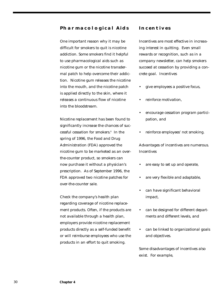#### **Pharmacological Aids**

One important reason why it may be difficult for smokers to quit is nicotine addiction. Some smokers find it helpful to use pharmacological aids such as nicotine gum or the nicotine transdermal patch to help overcome their addiction. Nicotine gum releases the nicotine into the mouth, and the nicotine patch is applied directly to the skin, where it releases a continuous flow of nicotine into the bloodstream.

Nicotine replacement has been found to significantly increase the chances of successful cessation for smokers.6 In the spring of 1996, the Food and Drug Administration (FDA) approved the nicotine gum to be marketed as an overthe-counter product, so smokers can now purchase it without a physician's prescription. As of September 1996, the FDA approved two nicotine patches for over-the-counter sale.

Check the company's health plan regarding coverage of nicotine replacement products. Often, if the products are not available through a health plan, employers provide nicotine replacement products directly as a self-funded benefit or will reimburse employees who use the products in an effort to quit smoking.

#### **Incentives**

Incentives are most effective in increasing interest in quitting. Even small rewards or recognition, such as in a company newsletter, can help smokers succeed at cessation by providing a concrete goal. Incentives

- give employees a positive focus,
- reinforce motivation,
- encourage cessation program participation, and
- reinforce employees' not smoking.

Advantages of incentives are numerous. Incentives

- are easy to set up and operate,
- are very flexible and adaptable,
- can have significant behavioral impact,
- can be designed for different departments and different levels, and
- can be linked to organizational goals and objectives.

Some disadvantages of incentives also exist. For example,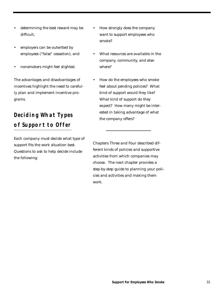- determining the best reward may be difficult,
- employers can be outwitted by employees ("false" cessation), and
- nonsmokers might feel slighted.

The advantages and disadvantages of incentives highlight the need to carefully plan and implement incentive programs.

## **Deciding What Types of Support to Offer**

Each company must decide what type of support fits the work situation best. Questions to ask to help decide include the following:

- How strongly does the company want to support employees who smoke?
- What resources are available in the company, community, and elsewhere?
- How do the employees who smoke feel about pending policies? What kind of support would they like? What kind of support do they expect? How many might be interested in taking advantage of what the company offers?

Chapters Three and Four described different kinds of policies and supportive activities from which companies may choose. The next chapter provides a step-by-step guide to planning your policies and activities and making them work.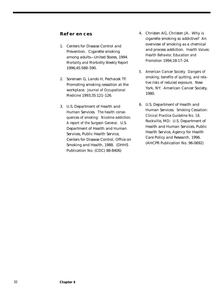#### **References**

- 1. Centers for Disease Control and Prevention. Cigarette smoking among adults—United States, 1994. *Mortality and Morbidity Weekly Report* 1996;45:588–590.
- 2. Sorensen G, Lando H, Pechacek TF. Promoting smoking cessation at the workplace. *Journal of Occupational Medicine* 1993;35:121–126.
- 3. U.S. Department of Health and Human Services. *The health consequences of smoking: Nicotine addiction. A report of the Surgeon General.* U.S. Department of Health and Human Services, Public Health Service, Centers for Disease Control, Office on Smoking and Health, 1988. (DHHS Publication No. (CDC) 88-8406)
- 4. Christen AG, Christen JA. Why is cigarette smoking so addictive? An overview of smoking as a chemical and process addiction. *Health Values: Health Behavior, Education and Promotion* 1994;18:17–24.
- *5. American Cancer Society. Dangers of smoking, benefits of quitting, and relative risks of reduced exposure.* New York, NY: American Cancer Society, 1980.
- 6. U.S. Department of Health and Human Services. *Smoking Cessation: Clinical Practice Guideline No. 18.* Rockville, MD: U.S. Department of Health and Human Services, Public Health Service, Agency for Health Care Policy and Research, 1996. (AHCPR Publication No. 96-0692)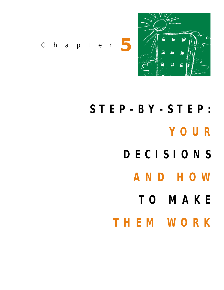

*Chapter* **5**

- **STEP-BY-STEP: YOUR DECISIONS AND HOW TO MAKE**
	- **THEM WORK**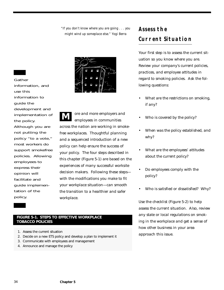*"If you don't know where you are going . . . you might wind up someplace else." Yogi Berra*



ore and more employers and employees in communities across the nation are working in smokefree workplaces. Thoughtful planning and a sequenced introduction of a new policy can help ensure the success of your policy. The four steps described in this chapter (Figure 5-1) are based on the experiences of many successful worksite decision makers. Following these steps with the modifications you make to fit your workplace situation—can smooth the transition to a healthier and safer workplace. **M**

#### **FIGURE 5-1. STEPS TO EFFECTIVE WORKPLACE TOBACCO POLICIES**

- 1. Assess the current situation
- 2. Decide on a new ETS policy and develop a plan to implement it
- 3. Communicate with employees and management
- 4. Announce and manage the policy

## **Assess the Current Situation**

Your first step is to assess the current situation so you know where you are. Review your company's current policies, practices, and employee attitudes in regard to smoking policies. Ask the following questions:

- What are the restrictions on smoking, if any?
- Who is covered by the policy?
- When was the policy established, and why?
- What are the employees' attitudes about the current policy?
- Do employees comply with the policy?
- Who is satisfied or dissatisfied? Why?

Use the checklist (Figure 5-2) to help assess the current situation. Also, review any state or local regulations on smoking in the workplace and get a sense of how other business in your area approach this issue.

Gather

use this

guide the

the policy.

information, and

development and implementation of

Although you are not putting the policy "to a vote," most workers do support smokefree policies. Allowing

employees to express their opinion will facilitate and

guide implemen-

tation of the

policy.

information to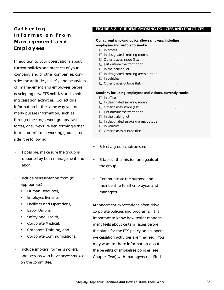#### **Gathering Information from Management and Employees**

In addition to your observations about current policies and practices of your company and of other companies, consider the attitudes, beliefs, and behaviors of management and employees before developing new ETS policies and smoking cessation activities. Collect this information in the same way you normally pursue information, such as through meetings, work groups, task forces, or surveys. When forming either formal or informal working groups, consider the following:

- If possible, make sure the group is supported by both management and labor.
- Include representation from (if appropriate)
	- Human Resources,
	- Employee Benefits,
	- Facilities and Operations,
	- Labor Unions,
	- Safety and Health,
	- Corporate Medical,
	- Corporate Training, and
	- Corporate Communications.
- Include smokers, former smokers, and persons who have never smoked on the committee.

#### **FIGURE 5-2. CURRENT SMOKING POLICIES AND PRACTICES**

| Our current smoking policy allows smokers, including<br>employees and visitors to smoke |                                                            |  |
|-----------------------------------------------------------------------------------------|------------------------------------------------------------|--|
| $\Box$ In offices                                                                       |                                                            |  |
|                                                                                         |                                                            |  |
| $\Box$ In designated smoking rooms                                                      |                                                            |  |
| $\Box$ Other places inside (list:                                                       |                                                            |  |
| $\Box$ Just outside the front door                                                      |                                                            |  |
| $\Box$ In the parking lot                                                               |                                                            |  |
| $\Box$ In designated smoking areas outside                                              |                                                            |  |
| $\Box$ In vehicles                                                                      |                                                            |  |
| $\Box$ Other places outside (list:                                                      |                                                            |  |
|                                                                                         |                                                            |  |
|                                                                                         |                                                            |  |
|                                                                                         | Smokers, including employees and visitors, currently smoke |  |
| $\Box$ In offices                                                                       |                                                            |  |
| $\Box$ In designated smoking rooms                                                      |                                                            |  |
| $\Box$ Other places inside (list:                                                       |                                                            |  |
| $\Box$ lust outside the front door                                                      |                                                            |  |
| $\Box$ In the parking lot                                                               |                                                            |  |
| $\Box$ In designated smoking areas outside                                              |                                                            |  |
| $\Box$ In vehicles                                                                      |                                                            |  |
|                                                                                         |                                                            |  |
| $\Box$ Other places outside (list:                                                      |                                                            |  |
|                                                                                         |                                                            |  |

- Select a group chairperson.
- Establish the mission and goals of the group.
- Communicate the purpose and membership to all employees and managers.

Management expectations often drive corporate policies and programs. It is important to know how senior management feels about certain issues before the plans for the ETS policy and supportive cessation activities are finalized. You may want to share information about the benefits of smokefree policies (see Chapter Two) with management. Find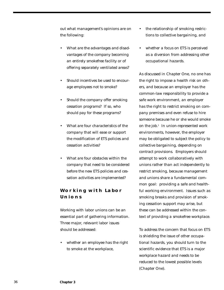out what management's opinions are on the following:

- What are the advantages and disadvantages of the company becoming an entirely smokefree facility or of offering separately ventilated areas?
- Should incentives be used to encourage employees not to smoke?
- Should the company offer smoking cessation programs? If so, who should pay for these programs?
- What are four characteristics of the company that will ease or support the modification of ETS policies and cessation activities?
- What are four obstacles within the company that need to be considered before the new ETS policies and cessation activities are implemented?

#### **Working with Labor Unions**

Working with labor unions can be an essential part of gathering information. Three major, relevant labor issues should be addressed:

whether an employee has the right to smoke at the workplace,

- the relationship of smoking restrictions to collective bargaining, and
- whether a focus on ETS is perceived as a diversion from addressing other occupational hazards.

As discussed in Chapter One, no one has the right to impose a health risk on others, and because an employer has the common-law responsibility to provide a safe work environment, an employer has the right to restrict smoking on company premises and even refuse to hire someone because he or she would smoke on the job.<sup>1</sup> In union-represented work environments, however, the employer may be obligated to subject the policy to collective bargaining, depending on contract provisions. Employers should attempt to work collaboratively with unions rather than act independently to restrict smoking, because management and unions share a fundamental common goal: providing a safe and healthful working environment. Issues such as smoking breaks and provision of smoking cessation support may arise, but these can be addressed within the context of providing a smokefree workplace.

To address the concern that focus on ETS is shielding the issue of other occupational hazards, you should turn to the scientific evidence that ETS is a major workplace hazard and needs to be reduced to the lowest possible levels (Chapter One).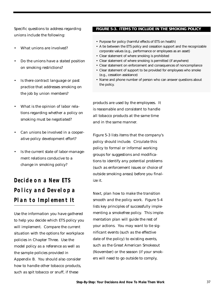Specific questions to address regarding unions include the following:

- What unions are involved?
- Do the unions have a stated position on smoking restrictions?
- Is there contract language or past practice that addresses smoking on the job by union members?
- What is the opinion of labor relations regarding whether a policy on smoking must be negotiated?
- Can unions be involved in a cooperative policy development effort?
- Is the current state of labor-management relations conducive to a change in smoking policy?

## **Decide on a New ETS Policy and Develop a Plan to Implement It**

Use the information you have gathered to help you decide which ETS policy you will implement. Compare the current situation with the options for workplace policies in Chapter Three. Use the model policy as a reference as well as the sample policies provided in Appendix B. You should also consider how to handle other tobacco products, such as spit tobacco or snuff, if these

#### **FIGURE 5-3. ITEMS TO INCLUDE IN THE SMOKING POLICY**

- Purpose for policy (harmful effects of ETS on health)
- A tie between the ETS policy and cessation support and the recognizable corporate values (e.g., performance or employees as an asset)
- Clear statement of where smoking is prohibited
- Clear statement of where smoking is permitted (if anywhere)
- Clear statement on enforcement and consequences of noncompliance
- Clear statement of support to be provided for employees who smoke (e.g., cessation assistance)
- Name and phone number of person who can answer questions about the policy.

products are used by the employees. It is reasonable and consistent to handle all tobacco products at the same time and in the same manner.

Figure 5-3 lists items that the company's policy should include. Circulate this policy to formal or informal working groups for suggestions and modifications to identify any potential problems (such as enforcement issues or choice of outside smoking areas) before you finalize it.

Next, plan how to make the transition smooth and the policy work. Figure 5-4 lists key principles of successfully implementing a smokefree policy. This implementation plan will guide the rest of your actions. You may want to tie significant events (such as the effective date of the policy) to existing events, such as the Great American Smokeout (November) or the season (if your smokers will need to go outside to comply,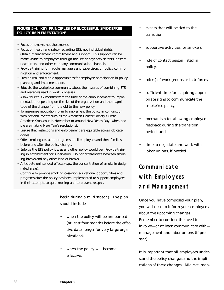#### **FIGURE 5-4. KEY PRINCIPLES OF SUCCESSFUL SMOKEFREE POLICY IMPLEMENTATION2**

- Focus on smoke, not the smoker.
- Focus on health and safety regarding ETS, not individual rights.
- Obtain management commitment and support. This support can be made visible to employees through the use of paycheck stuffers, posters, newsletters, and other company communication channels.
- Provide training for middle managers and supervisors on policy communication and enforcement.
- Provide real and visible opportunities for employee participation in policy planning and implementation.
- Educate the workplace community about the hazards of combining ETS and materials used in work processes.
- Allow four to six months from the time of the announcement to implementation, depending on the size of the organization and the magnitude of the change from the old to the new policy.
- To maximize motivation, plan to implement the policy in conjunction with national events such as the American Cancer Society's Great American Smokeout in November or around New Year's Day (when people are making New Year's resolutions).
- Ensure that restrictions and enforcement are equitable across job categories.
- Offer smoking cessation programs to all employees and their families before and after the policy change.
- Enforce the ETS policy just as any other policy would be. Provide training in enforcement for supervisors. Do not differentiate between smoking breaks and any other kind of breaks.
- Anticipate unintended effects (e.g., the concentration of smoke in designated areas).
- Continue to provide smoking cessation educational opportunities and programs after the policy has been implemented to support employees in their attempts to quit smoking and to prevent relapse.

begin during a mild season). The plan should include

- when the policy will be announced (at least four months before the effective date; longer for very large organizations),
- when the policy will become effective,
- events that will be tied to the transition,
- supportive activities for smokers,
- role of contact person listed in policy,
- role(s) of work groups or task forces,
- sufficient time for acquiring appropriate signs to communicate the smokefree policy,
- mechanism for allowing employee feedback during the transition period, and
- time to negotiate and work with labor unions, if needed.

## **Communicate with Employees and Management**

Once you have composed your plan, you will need to inform your employees about the upcoming changes. Remember to consider the need to involve—or at least communicate with management and labor unions (if present).

It is important that all employees understand the policy changes and the implications of these changes. Midlevel man-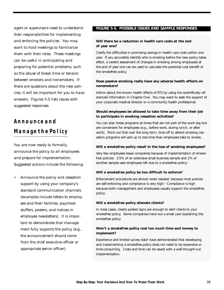agers or supervisors need to understand their responsibilities for implementing and enforcing the policies. You may want to hold meetings to familiarize them with their roles. These meetings can be useful in anticipating and preparing for potential problems, such as the abuse of break time or tension between smokers and nonsmokers. If there are questions about the new policies, it will be important for you to have answers. Figures 5-5 lists issues with suggested responses.

## **Announce and Manage the Policy**

You are now ready to formally announce the policy to all employees and prepare for implementation. Suggested actions include the following:

• Announce the policy and cessation support by using your company's standard communication channels (examples include letters to employees and their families, paycheck stuffers, posters, and notices in employee newsletters). It is important to demonstrate that management fully supports the policy (e.g., the announcement should come from the chief executive officer or appropriate senior officer).

#### **FIGURE 5-5. POSSIBLE ISSUES AND SAMPLE RESPONSES**

#### **Will there be a reduction in health care costs at the end of year one?**

Clarify the difficulties in promising savings in health care costs within one year. If you accurately identify who is smoking before the new policy takes effect, a careful assessment of changes in smoking among employees at the end of year one can be used to calculate the potential cost benefit of the smokefree policy.

#### **Does passive smoking really have any adverse health effects on nonsmokers?**

Inform about the known health effects of ETS by using the scientifically referenced information in Chapter One. You may want to seek the support of your corporate medical director or a community health professional.

#### **Should employees be allowed to take time away from their job to participate in smoking cessation activities?**

You can plan these programs at times that are not part of the work day but are convenient for employees (e.g., before work, during lunch, or after work). Point out that over the long term, time off to attend smoking cessation programs will add up to less time than employees take to smoke.

#### **Will a smokefree policy result in the loss of smoking employees?**

Very few employees leave companies because of implementation of smokefree policies: 3.5% of an extensive small business sample and 2% of another sample said employees left due to a smokefree policy.<sup>3</sup>

#### **Will a smokefree policy be too difficult to enforce?**

Enforcement procedures are almost never needed, because most policies are self-enforcing and compliance is very high.<sup>3</sup> Compliance is high because both management and employees usually support the smokefree policy.

#### **Will a smokefree policy alienate clients?**

In most cases, clearly posted signs are enough to alert clients to your smokefree policy. Some companies hand out a small card explaining the smokefree policy.

#### **Won't a smokefree policy cost too much time and money to implement?**

Experience and limited survey data<sup>4</sup> have demonstrated that developing and implementing a smokefree policy does not need to be expensive or time-consuming. Costs and time can be saved with a well-thought-out implementation.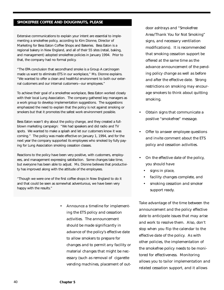#### **SMOKEFREE COFFEE AND DOUGHNUTS, PLEASE**

Extensive communications to explain your intent are essential to implementing a smokefree policy, according to Kim Dionne, Director of Marketing for Bess Eaton Coffee Shops and Bakeries. Bess Eaton is a regional bakery in New England, and all of their 55 sites (retail, baking, and management) adopted smokefree policies in January 1994. Prior to that, the company had no formal policy.

"The EPA conclusion that secondhand smoke is a Group A carcinogen made us want to eliminate ETS in our workplace," Ms. Dionne explains. "We wanted to offer a clean and healthful environment to both our external customers and our internal customers—our employees."

To achieve their goal of a smokefree workplace, Bess Eaton worked closely with their local Lung Association. The company gathered key managers as a work group to develop implementation suggestions. The suggestions emphasized the need to explain that the policy is not against smoking or smokers but that it promotes the safest work environment possible.

Bess Eaton wasn't shy about the policy change, and they created a fullblown marketing campaign: "We had speakers and did radio and TV spots. We wanted to make a splash and let our customers know it was coming." The policy was made effective on January 1, 1994, and for the next year the company supported its employees who smoked by fully paying for Lung Association smoking cessation classes.

Reactions to the policy have been very positive, with customers, employees, and management expressing satisfaction. Some changes take time, but everyone has been able to adjust. Ms. Dionne believes that productivity has improved along with the attitude of the employees.

"Though we were one of the first coffee shops in New England to do it and that could be seen as somewhat adventurous, we have been very happy with the results."

> • Announce a timeline for implementing the ETS policy and cessation activities. The announcement should be made significantly in advance of the policy's effective date to allow smokers to prepare for changes and to permit any facility or material changes that might be necessary (such as removal of cigarette vending machines, placement of out

door ashtrays and "Smokefree Area/Thank You for Not Smoking" signs, and necessary ventilation modifications). It is recommended that smoking cessation support be offered at the same time as the advance announcement of the pending policy change as well as before and after the effective date. Strong restrictions on smoking may encourage smokers to think about quitting smoking.

- Obtain signs that communicate a positive "smokefree" message.
- Offer to answer employee questions and invite comment about the ETS policy and cessation activities.
- On the effective date of the policy, you should have
	- signs in place,
	- facility changes complete, and
	- smoking cessation and smoker support ready.

Take advantage of the time between the announcement and the policy effective date to anticipate issues that may arise and work to resolve them. Also, don't stop when you flip the calendar to the effective date of the policy. As with other policies, the implementation of the smokefree policy needs to be monitored for effectiveness. Monitoring allows you to tailor implementation and related cessation support, and it allows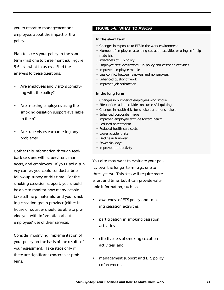you to report to management and employees about the impact of the policy.

Plan to assess your policy in the short term (first one to three months). Figure 5-6 lists what to assess. Find the answers to these questions:

- Are employees and visitors complying with the policy?
- Are smoking employees using the smoking cessation support available to them?
- Are supervisors encountering any problems?

Gather this information through feedback sessions with supervisors, managers, and employees. If you used a survey earlier, you could conduct a brief follow-up survey at this time. For the smoking cessation support, you should be able to monitor how many people take self-help materials, and your smoking cessation group provider (either inhouse or outside) should be able to provide you with information about employees' use of their services.

Consider modifying implementation of your policy on the basis of the results of your assessment. Take steps only if there are significant concerns or problems.

#### **FIGURE 5-6. WHAT TO ASSESS**

#### **In the short term**

- Changes in exposure to ETS in the work environment
- Number of employees attending cessation activities or using self-help materials
- Awareness of ETS policy
- Employee attitudes toward ETS policy and cessation activities
- Improved employee morale
- Less conflict between smokers and nonsmokers
- Enhanced quality of work
- Improved job satisfaction

#### **In the long term**

- Changes in number of employees who smoke
- Effect of cessation activities on successful quitting
- Changes in health risks for smokers and nonsmokers
- Enhanced corporate image
- Improved employee attitude toward health
- Reduced absenteeism
- Reduced health care costs
- Lower accident rate
- Decline in turnover
- Fewer sick days
- Improved productivity

You also may want to evaluate your policy over the longer term (e.g., one to three years). This step will require more effort and time, but it can provide valuable information, such as

- awareness of ETS policy and smoking cessation activities,
- participation in smoking cessation activities,
- effectiveness of smoking cessation activities, and
- management support and ETS policy enforcement.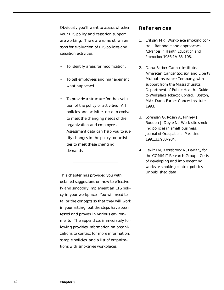Obviously you'll want to assess whether your ETS policy and cessation support are working. There are some other reasons for evaluation of ETS policies and cessation activities:

- To identify areas for modification.
- To tell employees and management what happened.
- To provide a structure for the evolution of the policy or activities. All policies and activities need to evolve to meet the changing needs of the organization and employees. Assessment data can help you to justify changes in the policy or activities to meet these changing demands.

This chapter has provided you with detailed suggestions on how to effectively and smoothly implement an ETS policy in your workplace. You will need to tailor the concepts so that they will work in your setting, but the steps have been tested and proven in various environments. The appendices immediately following provides information on organizations to contact for more information, sample policies, and a list of organizations with smokefree workplaces.

#### **References**

- 1. Eriksen MP. Workplace smoking control: Rationale and approaches. *Advances in Health Education and Promotion* 1986;1A:65–108.
- 2. Dana-Farber Cancer Institute, American Cancer Society, and Liberty Mutual Insurance Company, with support from the Massachusetts Department of Public Health. *Guide to Workplace Tobacco Control.* Boston, MA: Dana-Farber Cancer Institute, 1993.
- 3. Sorensen G, Rosen A, Pinney J, Rudoph J, Doyle N. Work-site smoking policies in small business. *Journal of Occupational Medicine* 1991;33:980–984.
- 4. Lewit EM, Kerrebrock N, Lewit S, for the COMMIT Research Group. Costs of developing and implementing worksite smoking control policies. Unpublished data.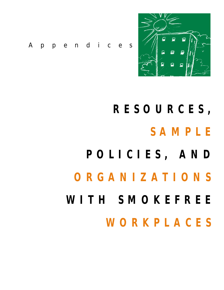

*Appendices*

# **RESOURCES, SAMPLE POLICIES, AND ORGANIZATIONS WITH SMOKEFREE**

**WORKPLACES**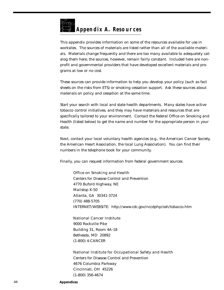

This appendix provides information on some of the resources available for use in worksites. The sources of materials are listed rather than all of the available materials. Materials change frequently and there are too many available to adequately catalog them here; the sources, however, remain fairly constant. Included here are nonprofit and governmental providers that have developed excellent materials and programs at low or no cost.

These sources can provide information to help you develop your policy (such as fact sheets on the risks from ETS) or smoking cessation support. Ask these sources about materials on policy and cessation at the same time.

Start your search with local and state health departments. Many states have active tobacco control initiatives, and they may have materials and resources that are specifically tailored to your environment. Contact the federal Office on Smoking and Health (listed below) to get the name and number for the appropriate person in your state.

Next, contact your local voluntary health agencies (e.g., the American Cancer Society, the American Heart Association, the local Lung Association). You can find their numbers in the telephone book for your community.

Finally, you can request information from federal government sources.

**Office on Smoking and Health** Centers for Disease Control and Prevention 4770 Buford Highway, NE Mailstop K-50 Atlanta, GA 30341-3724 (770) 488-5705 INTERNET/WEBSITE: http://www.cdc.gov/nccdphp/osh/tobacco.htm

**National Cancer Institut**e 9000 Rockville Pike Building 31, Room 4A-18 Bethesda, MD 20892 (1-800) 4-CANCER

**National Institute for Occupational Safety and Health** Centers for Disease Control and Prevention 4676 Columbia Parkway Cincinnati, OH 45226 (1-800) 356-4674

44 **Appendices**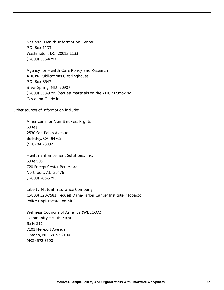**National Health Information Center** P.O. Box 1133 Washington, DC 20013-1133 (1-800) 336-4797

**Agency for Health Care Policy and Research** AHCPR Publications Clearinghouse P.O. Box 8547 Silver Spring, MD 20907 (1-800) 358-9295 (request materials on the AHCPR Smoking Cessation Guideline)

Other sources of information include:

**Americans for Non-Smokers Rights** Suite J 2530 San Pablo Avenue Berkeley, CA 94702 (510) 841-3032

**Health Enhancement Solutions, Inc**. Suite 505 720 Energy Center Boulevard Northport, AL 35476 (1-800) 285-5293

**Liberty Mutual Insurance Company** (1-800) 320-7581 (request Dana-Farber Cancer Institute "Tobacco Policy Implementation Kit")

**Wellness Councils of America (WELCOA)** Community Health Plaza Suite 311 7101 Newport Avenue Omaha, NE 68152-2100 (402) 572-3590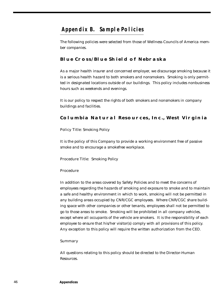#### **Appendix B. Sample Policies**

The following policies were selected from those of Wellness Councils of America member companies.

#### **Blue Cross/Blue Shield of Nebraska**

As a major health insurer and concerned employer, we discourage smoking because it is a serious health hazard to both smokers and nonsmokers. Smoking is only permitted in designated locations outside of our buildings. This policy includes nonbusiness hours such as weekends and evenings.

It is our policy to respect the rights of both smokers and nonsmokers in company buildings and facilities.

#### **Columbia Natural Resources, Inc., West Virginia**

**Policy Title:** Smoking Policy

It is the policy of this Company to provide a working environment free of passive smoke and to encourage a smokefree workplace.

**Procedure Title:** Smoking Policy

#### **Procedure**

In addition to the areas covered by Safety Policies and to meet the concerns of employees regarding the hazards of smoking and exposure to smoke and to maintain a safe and healthy environment in which to work, smoking will not be permitted in any building areas occupied by CNR/CGC employees. Where CNR/CGC share building space with other companies or other tenants, employees shall not be permitted to go to those areas to smoke. Smoking will be prohibited in all company vehicles, except where all occupants of the vehicle are smokers. It is the responsibility of each employee to ensure that his/her visitor(s) comply with all provisions of this policy. Any exception to this policy will require the written authorization from the CEO.

#### **Summary**

All questions relating to this policy should be directed to the Director-Human Resources.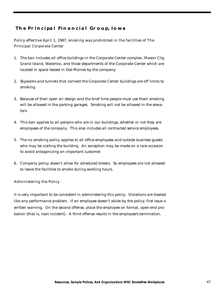#### **The Principal Financial Group, Iowa**

**Policy effective April 1, 1987, smoking was prohibited in the facilities of The Principal Corporate Center**

- 1. The ban includes all office buildings in the Corporate Center complex, Mason City, Grand Island, Waterloo, and those departments of the Corporate Center which are located in space leased in Des Moines by the company.
- 2. Skywalks and tunnels that connect the Corporate Center buildings are off limits to smoking.
- 3. Because of their open air design and the brief time people must use them smoking will be allowed in the parking garages. Smoking will not be allowed in the elevators.
- 4. This ban applies to all persons who are in our buildings, whether or not they are employees of the company. This also includes all contracted service employees.
- 5. The no smoking policy applies to all office employees and outside business guests who may be visiting the building. An exception may be made on a rare occasion to avoid antagonizing an important customer.
- 6. Company policy doesn't allow for scheduled breaks. So employees are not allowed to leave the facilities to smoke during working hours.

**Administering the Policy**

It is very important to be consistent in administering this policy. Violations are treated like any performance problem. If an employee doesn't abide by the policy, first issue a written warning. On the second offense, place the employee on formal, open-end probation (that is, next incident). A third offense results in the employee's termination.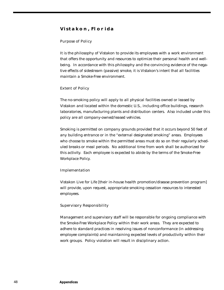#### **Vistakon, Florida**

#### **Purpose of Policy**

It is the philosophy of Vistakon to provide its employees with a work environment that offers the opportunity and resources to optimize their personal health and wellbeing. In accordance with this philosophy and the convincing evidence of the negative effects of sidestream (passive) smoke, it is Vistakon's intent that all facilities maintain a Smoke-Free environment.

#### **Extent of Policy**

The no-smoking policy will apply to all physical facilities owned or leased by Vistakon and located within the domestic U.S., including office buildings, research laboratories, manufacturing plants and distribution centers. Also included under this policy are all company-owned/leased vehicles.

Smoking is permitted on company grounds provided that it occurs beyond 50 feet of any building entrance or in the "external designated smoking" areas. Employees who choose to smoke within the permitted areas must do so on their regularly scheduled breaks or meal periods. No additional time from work shall be authorized for this activity. Each employee is expected to abide by the terms of the Smoke-Free Workplace Policy.

#### **Implementation**

Vistakon Live for Life [their in-house health promotion/disease prevention program] will provide, upon request, appropriate smoking cessation resources to interested employees.

#### **Supervisory Responsibility**

Management and supervisory staff will be responsible for ongoing compliance with the Smoke-Free Workplace Policy within their work areas. They are expected to adhere to standard practices in resolving issues of nonconformance (in addressing employee complaints) and maintaining expected levels of productivity within their work groups. Policy violation will result in disciplinary action.